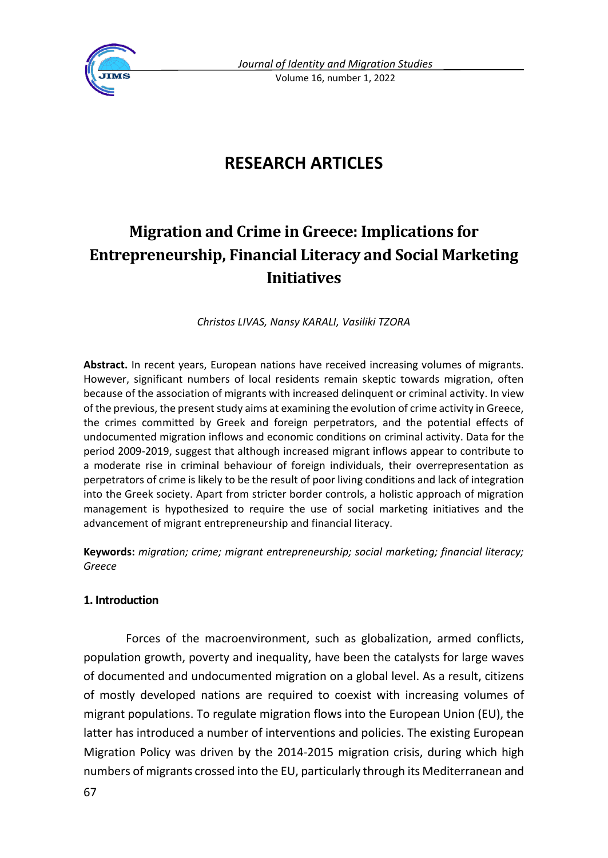

# **RESEARCH ARTICLES**

# **Migration and Crime in Greece: Implications for Entrepreneurship, Financial Literacy and Social Marketing Initiatives**

*Christos LIVAS, Nansy KARALI, Vasiliki TZORA*

**Abstract.** In recent years, European nations have received increasing volumes of migrants. However, significant numbers of local residents remain skeptic towards migration, often because of the association of migrants with increased delinquent or criminal activity. In view of the previous, the present study aims at examining the evolution of crime activity in Greece, the crimes committed by Greek and foreign perpetrators, and the potential effects of undocumented migration inflows and economic conditions on criminal activity. Data for the period 2009-2019, suggest that although increased migrant inflows appear to contribute to a moderate rise in criminal behaviour of foreign individuals, their overrepresentation as perpetrators of crime is likely to be the result of poor living conditions and lack of integration into the Greek society. Apart from stricter border controls, a holistic approach of migration management is hypothesized to require the use of social marketing initiatives and the advancement of migrant entrepreneurship and financial literacy.

**Keywords:** *migration; crime; migrant entrepreneurship; social marketing; financial literacy; Greece* 

## **1. Introduction**

Forces of the macroenvironment, such as globalization, armed conflicts, population growth, poverty and inequality, have been the catalysts for large waves of documented and undocumented migration on a global level. As a result, citizens of mostly developed nations are required to coexist with increasing volumes of migrant populations. To regulate migration flows into the European Union (EU), the latter has introduced a number of interventions and policies. The existing European Migration Policy was driven by the 2014-2015 migration crisis, during which high numbers of migrants crossed into the EU, particularly through its Mediterranean and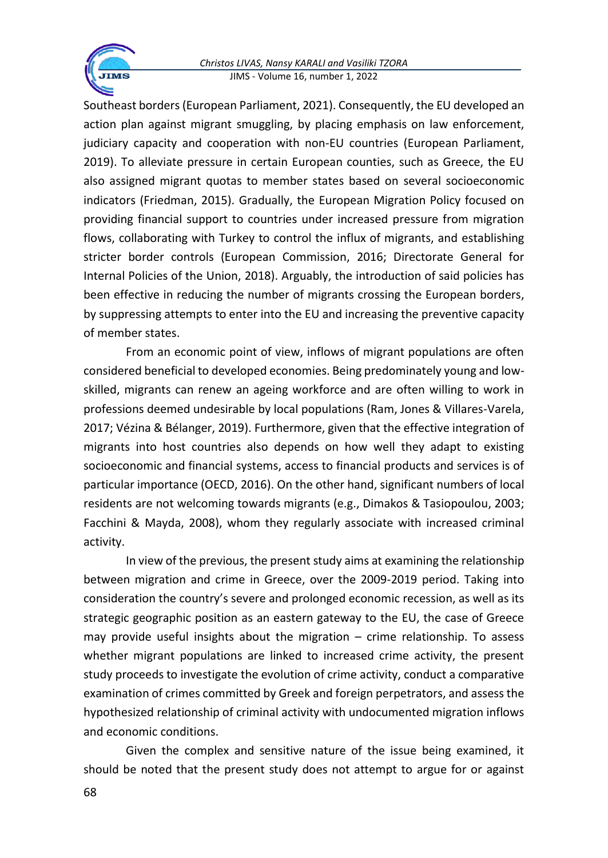#### *Christos LIVAS, Nansy KARALI and Vasiliki TZORA* JIMS - Volume 16, number 1, 2022

Southeast borders (European Parliament, 2021). Consequently, the EU developed an action plan against migrant smuggling, by placing emphasis on law enforcement, judiciary capacity and cooperation with non-EU countries (European Parliament, 2019). To alleviate pressure in certain European counties, such as Greece, the EU also assigned migrant quotas to member states based on several socioeconomic indicators (Friedman, 2015). Gradually, the European Migration Policy focused on providing financial support to countries under increased pressure from migration flows, collaborating with Turkey to control the influx of migrants, and establishing stricter border controls (European Commission, 2016; Directorate General for Internal Policies of the Union, 2018). Arguably, the introduction of said policies has been effective in reducing the number of migrants crossing the European borders, by suppressing attempts to enter into the EU and increasing the preventive capacity of member states.

From an economic point of view, inflows of migrant populations are often considered beneficial to developed economies. Being predominately young and lowskilled, migrants can renew an ageing workforce and are often willing to work in professions deemed undesirable by local populations (Ram, Jones & Villares-Varela, 2017; Vézina & Bélanger, 2019). Furthermore, given that the effective integration of migrants into host countries also depends on how well they adapt to existing socioeconomic and financial systems, access to financial products and services is of particular importance (OECD, 2016). On the other hand, significant numbers of local residents are not welcoming towards migrants (e.g., Dimakos & Tasiopoulou, 2003; Facchini & Mayda, 2008), whom they regularly associate with increased criminal activity.

In view of the previous, the present study aims at examining the relationship between migration and crime in Greece, over the 2009-2019 period. Taking into consideration the country's severe and prolonged economic recession, as well as its strategic geographic position as an eastern gateway to the EU, the case of Greece may provide useful insights about the migration – crime relationship. To assess whether migrant populations are linked to increased crime activity, the present study proceeds to investigate the evolution of crime activity, conduct a comparative examination of crimes committed by Greek and foreign perpetrators, and assess the hypothesized relationship of criminal activity with undocumented migration inflows and economic conditions.

Given the complex and sensitive nature of the issue being examined, it should be noted that the present study does not attempt to argue for or against

**TMS**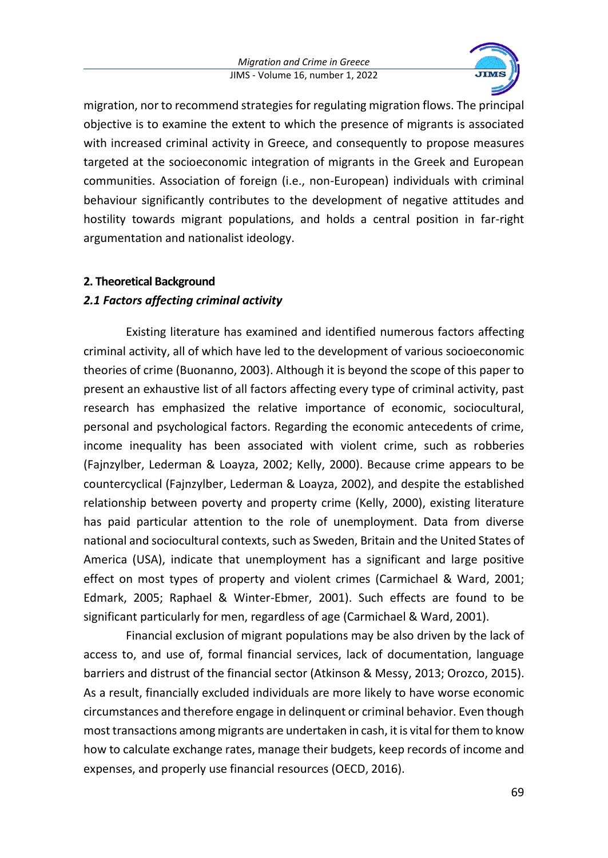

migration, nor to recommend strategies for regulating migration flows. The principal objective is to examine the extent to which the presence of migrants is associated with increased criminal activity in Greece, and consequently to propose measures targeted at the socioeconomic integration of migrants in the Greek and European communities. Association of foreign (i.e., non-European) individuals with criminal behaviour significantly contributes to the development of negative attitudes and hostility towards migrant populations, and holds a central position in far-right argumentation and nationalist ideology.

## **2. Theoretical Background**

# *2.1 Factors affecting criminal activity*

Existing literature has examined and identified numerous factors affecting criminal activity, all of which have led to the development of various socioeconomic theories of crime (Buonanno, 2003). Although it is beyond the scope of this paper to present an exhaustive list of all factors affecting every type of criminal activity, past research has emphasized the relative importance of economic, sociocultural, personal and psychological factors. Regarding the economic antecedents of crime, income inequality has been associated with violent crime, such as robberies (Fajnzylber, Lederman & Loayza, 2002; Kelly, 2000). Because crime appears to be countercyclical (Fajnzylber, Lederman & Loayza, 2002), and despite the established relationship between poverty and property crime (Kelly, 2000), existing literature has paid particular attention to the role of unemployment. Data from diverse national and sociocultural contexts, such as Sweden, Britain and the United States of America (USA), indicate that unemployment has a significant and large positive effect on most types of property and violent crimes (Carmichael & Ward, 2001; Edmark, 2005; Raphael & Winter-Ebmer, 2001). Such effects are found to be significant particularly for men, regardless of age (Carmichael & Ward, 2001).

Financial exclusion of migrant populations may be also driven by the lack of access to, and use of, formal financial services, lack of documentation, language barriers and distrust of the financial sector (Atkinson & Messy, 2013; Orozco, 2015). As a result, financially excluded individuals are more likely to have worse economic circumstances and therefore engage in delinquent or criminal behavior. Even though most transactions among migrants are undertaken in cash, it is vital for them to know how to calculate exchange rates, manage their budgets, keep records of income and expenses, and properly use financial resources (OECD, 2016).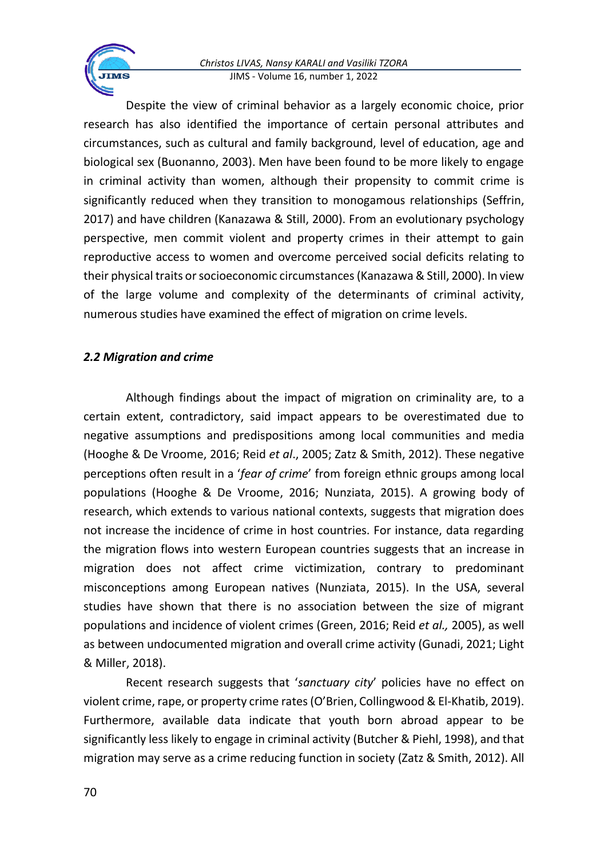#### *Christos LIVAS, Nansy KARALI and Vasiliki TZORA* JIMS - Volume 16, number 1, 2022

Despite the view of criminal behavior as a largely economic choice, prior research has also identified the importance of certain personal attributes and circumstances, such as cultural and family background, level of education, age and biological sex (Buonanno, 2003). Men have been found to be more likely to engage in criminal activity than women, although their propensity to commit crime is significantly reduced when they transition to monogamous relationships (Seffrin, 2017) and have children (Kanazawa & Still, 2000). From an evolutionary psychology perspective, men commit violent and property crimes in their attempt to gain reproductive access to women and overcome perceived social deficits relating to their physical traits or socioeconomic circumstances (Kanazawa & Still, 2000). In view of the large volume and complexity of the determinants of criminal activity, numerous studies have examined the effect of migration on crime levels.

# *2.2 Migration and crime*

Although findings about the impact of migration on criminality are, to a certain extent, contradictory, said impact appears to be overestimated due to negative assumptions and predispositions among local communities and media (Hooghe & De Vroome, 2016; Reid *et al*., 2005; Zatz & Smith, 2012). These negative perceptions often result in a '*fear of crime*' from foreign ethnic groups among local populations (Hooghe & De Vroome, 2016; Nunziata, 2015). A growing body of research, which extends to various national contexts, suggests that migration does not increase the incidence of crime in host countries. For instance, data regarding the migration flows into western European countries suggests that an increase in migration does not affect crime victimization, contrary to predominant misconceptions among European natives (Nunziata, 2015). In the USA, several studies have shown that there is no association between the size of migrant populations and incidence of violent crimes (Green, 2016; Reid *et al.,* 2005), as well as between undocumented migration and overall crime activity (Gunadi, 2021; Light & Miller, 2018).

Recent research suggests that '*sanctuary city*' policies have no effect on violent crime, rape, or property crime rates (O'Brien, Collingwood & El-Khatib, 2019). Furthermore, available data indicate that youth born abroad appear to be significantly less likely to engage in criminal activity (Butcher & Piehl, 1998), and that migration may serve as a crime reducing function in society (Zatz & Smith, 2012). All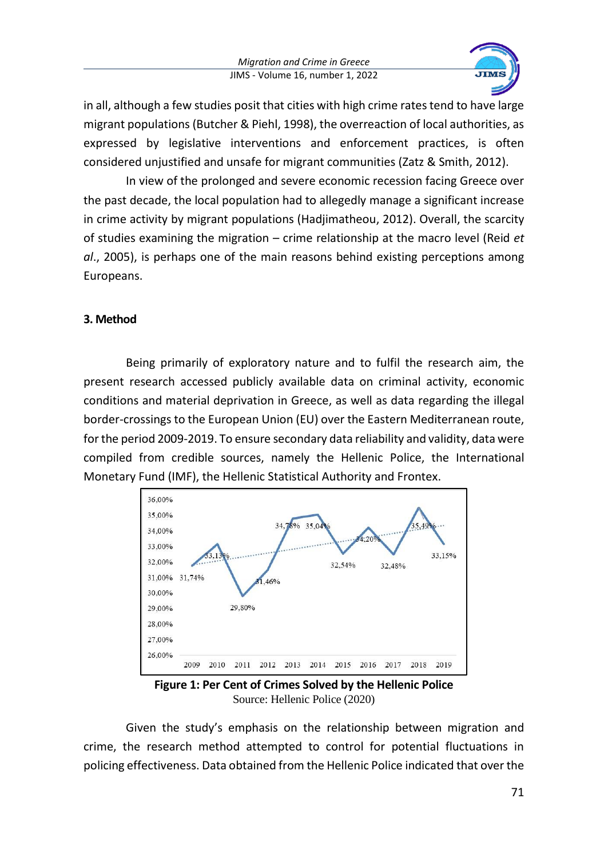

in all, although a few studies posit that cities with high crime rates tend to have large migrant populations (Butcher & Piehl, 1998), the overreaction of local authorities, as expressed by legislative interventions and enforcement practices, is often considered unjustified and unsafe for migrant communities (Zatz & Smith, 2012).

In view of the prolonged and severe economic recession facing Greece over the past decade, the local population had to allegedly manage a significant increase in crime activity by migrant populations (Hadjimatheou, 2012). Overall, the scarcity of studies examining the migration – crime relationship at the macro level (Reid *et al*., 2005), is perhaps one of the main reasons behind existing perceptions among Europeans.

## **3. Method**

Being primarily of exploratory nature and to fulfil the research aim, the present research accessed publicly available data on criminal activity, economic conditions and material deprivation in Greece, as well as data regarding the illegal border-crossings to the European Union (EU) over the Eastern Mediterranean route, for the period 2009-2019. To ensure secondary data reliability and validity, data were compiled from credible sources, namely the Hellenic Police, the International Monetary Fund (IMF), the Hellenic Statistical Authority and Frontex.



**Figure 1: Per Cent of Crimes Solved by the Hellenic Police** Source: Hellenic Police (2020)

Given the study's emphasis on the relationship between migration and crime, the research method attempted to control for potential fluctuations in policing effectiveness. Data obtained from the Hellenic Police indicated that over the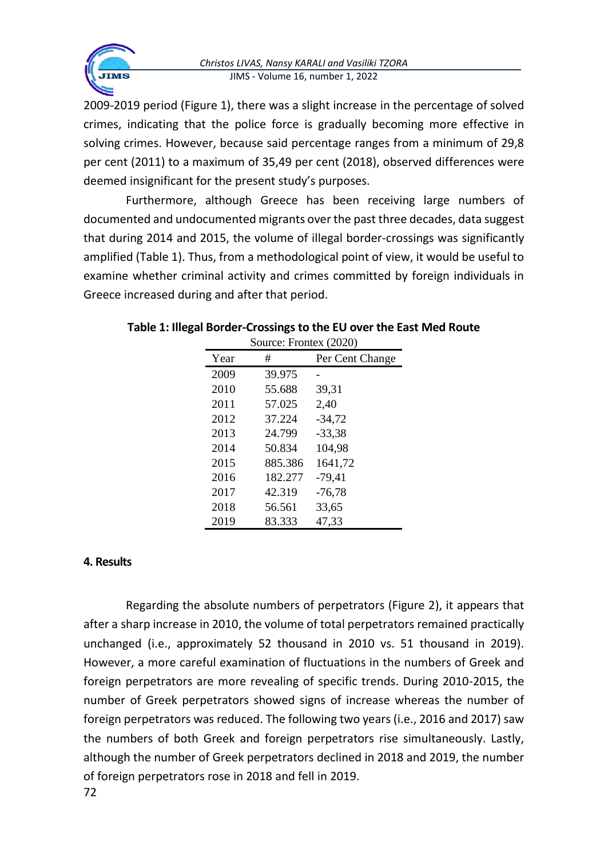

2009-2019 period (Figure 1), there was a slight increase in the percentage of solved crimes, indicating that the police force is gradually becoming more effective in solving crimes. However, because said percentage ranges from a minimum of 29,8 per cent (2011) to a maximum of 35,49 per cent (2018), observed differences were deemed insignificant for the present study's purposes.

Furthermore, although Greece has been receiving large numbers of documented and undocumented migrants over the past three decades, data suggest that during 2014 and 2015, the volume of illegal border-crossings was significantly amplified (Table 1). Thus, from a methodological point of view, it would be useful to examine whether criminal activity and crimes committed by foreign individuals in Greece increased during and after that period.

| SOUICE: $\Gamma$ IOIIIEX ( $\angle$ U $\angle$ U) |         |                 |
|---------------------------------------------------|---------|-----------------|
| Year                                              | #       | Per Cent Change |
| 2009                                              | 39.975  |                 |
| 2010                                              | 55.688  | 39,31           |
| 2011                                              | 57.025  | 2,40            |
| 2012                                              | 37.224  | $-34,72$        |
| 2013                                              | 24.799  | $-33,38$        |
| 2014                                              | 50.834  | 104,98          |
| 2015                                              | 885.386 | 1641,72         |
| 2016                                              | 182.277 | $-79,41$        |
| 2017                                              | 42.319  | $-76,78$        |
| 2018                                              | 56.561  | 33,65           |
| 2019                                              | 83.333  | 47.33           |

#### **Table 1: Illegal Border-Crossings to the EU over the East Med Route**  $S_{\text{source}}$ :  $F_{\text{matter}}$  (2020)

# **4. Results**

Regarding the absolute numbers of perpetrators (Figure 2), it appears that after a sharp increase in 2010, the volume of total perpetrators remained practically unchanged (i.e., approximately 52 thousand in 2010 vs. 51 thousand in 2019). However, a more careful examination of fluctuations in the numbers of Greek and foreign perpetrators are more revealing of specific trends. During 2010-2015, the number of Greek perpetrators showed signs of increase whereas the number of foreign perpetrators was reduced. The following two years (i.e., 2016 and 2017) saw the numbers of both Greek and foreign perpetrators rise simultaneously. Lastly, although the number of Greek perpetrators declined in 2018 and 2019, the number of foreign perpetrators rose in 2018 and fell in 2019.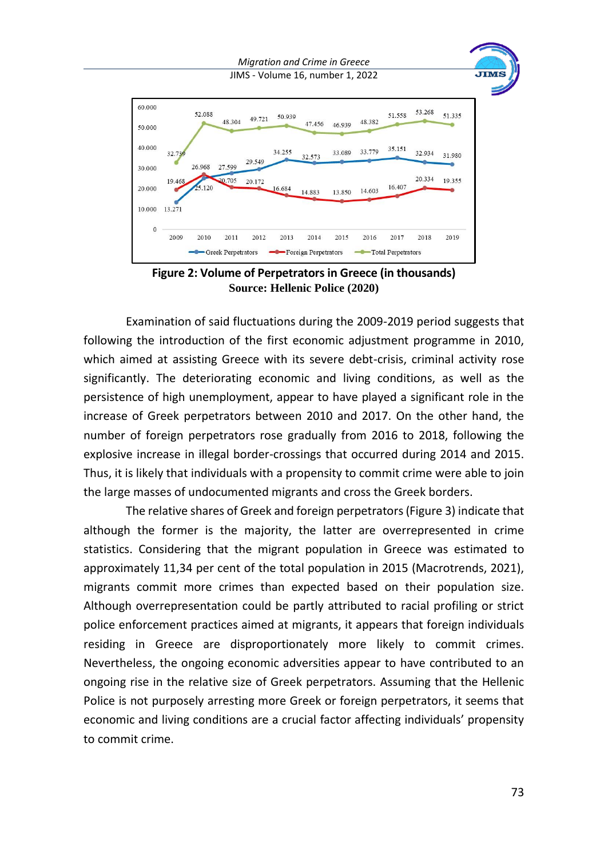

**Figure 2: Volume of Perpetrators in Greece (in thousands) Source: Hellenic Police (2020)**

Examination of said fluctuations during the 2009-2019 period suggests that following the introduction of the first economic adjustment programme in 2010, which aimed at assisting Greece with its severe debt-crisis, criminal activity rose significantly. The deteriorating economic and living conditions, as well as the persistence of high unemployment, appear to have played a significant role in the increase of Greek perpetrators between 2010 and 2017. On the other hand, the number of foreign perpetrators rose gradually from 2016 to 2018, following the explosive increase in illegal border-crossings that occurred during 2014 and 2015. Thus, it is likely that individuals with a propensity to commit crime were able to join the large masses of undocumented migrants and cross the Greek borders.

The relative shares of Greek and foreign perpetrators (Figure 3) indicate that although the former is the majority, the latter are overrepresented in crime statistics. Considering that the migrant population in Greece was estimated to approximately 11,34 per cent of the total population in 2015 (Macrotrends, 2021), migrants commit more crimes than expected based on their population size. Although overrepresentation could be partly attributed to racial profiling or strict police enforcement practices aimed at migrants, it appears that foreign individuals residing in Greece are disproportionately more likely to commit crimes. Nevertheless, the ongoing economic adversities appear to have contributed to an ongoing rise in the relative size of Greek perpetrators. Assuming that the Hellenic Police is not purposely arresting more Greek or foreign perpetrators, it seems that economic and living conditions are a crucial factor affecting individuals' propensity to commit crime.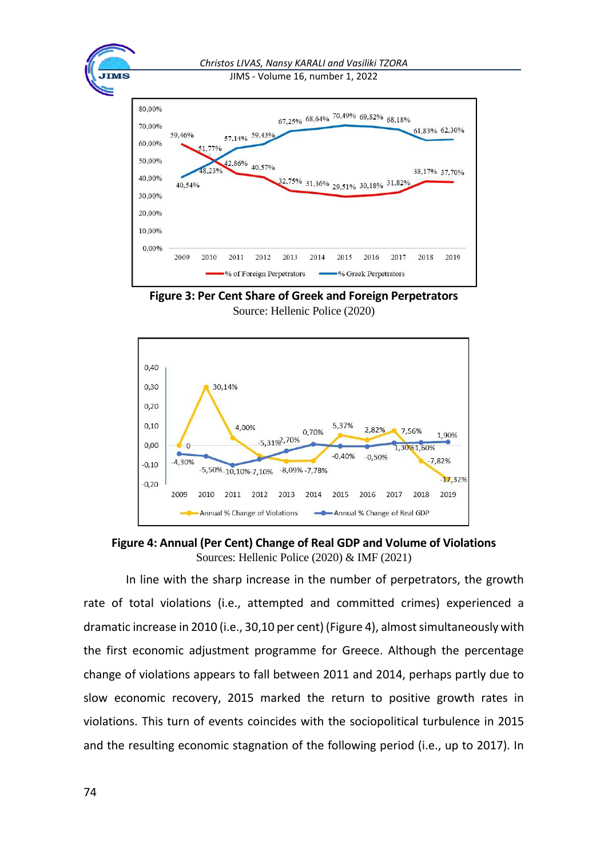

**Figure 3: Per Cent Share of Greek and Foreign Perpetrators** Source: Hellenic Police (2020)



**Figure 4: Annual (Per Cent) Change of Real GDP and Volume of Violations**  Sources: Hellenic Police (2020) & IMF (2021)

In line with the sharp increase in the number of perpetrators, the growth rate of total violations (i.e., attempted and committed crimes) experienced a dramatic increase in 2010 (i.e., 30,10 per cent) (Figure 4), almost simultaneously with the first economic adjustment programme for Greece. Although the percentage change of violations appears to fall between 2011 and 2014, perhaps partly due to slow economic recovery, 2015 marked the return to positive growth rates in violations. This turn of events coincides with the sociopolitical turbulence in 2015 and the resulting economic stagnation of the following period (i.e., up to 2017). In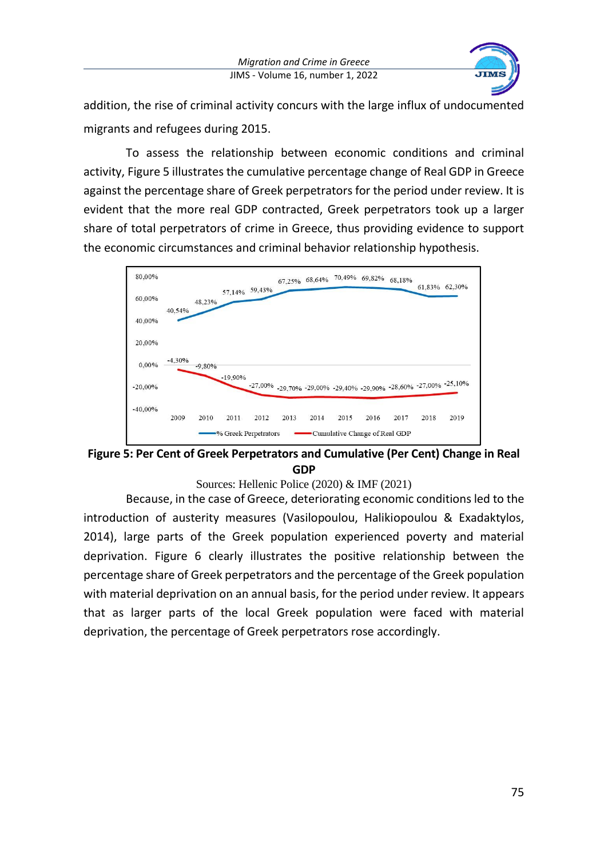

addition, the rise of criminal activity concurs with the large influx of undocumented migrants and refugees during 2015.

To assess the relationship between economic conditions and criminal activity, Figure 5 illustrates the cumulative percentage change of Real GDP in Greece against the percentage share of Greek perpetrators for the period under review. It is evident that the more real GDP contracted, Greek perpetrators took up a larger share of total perpetrators of crime in Greece, thus providing evidence to support the economic circumstances and criminal behavior relationship hypothesis.



**Figure 5: Per Cent of Greek Perpetrators and Cumulative (Per Cent) Change in Real GDP**

Sources: Hellenic Police (2020) & IMF (2021)

Because, in the case of Greece, deteriorating economic conditions led to the introduction of austerity measures (Vasilopoulou, Halikiopoulou & Exadaktylos, 2014), large parts of the Greek population experienced poverty and material deprivation. Figure 6 clearly illustrates the positive relationship between the percentage share of Greek perpetrators and the percentage of the Greek population with material deprivation on an annual basis, for the period under review. It appears that as larger parts of the local Greek population were faced with material deprivation, the percentage of Greek perpetrators rose accordingly.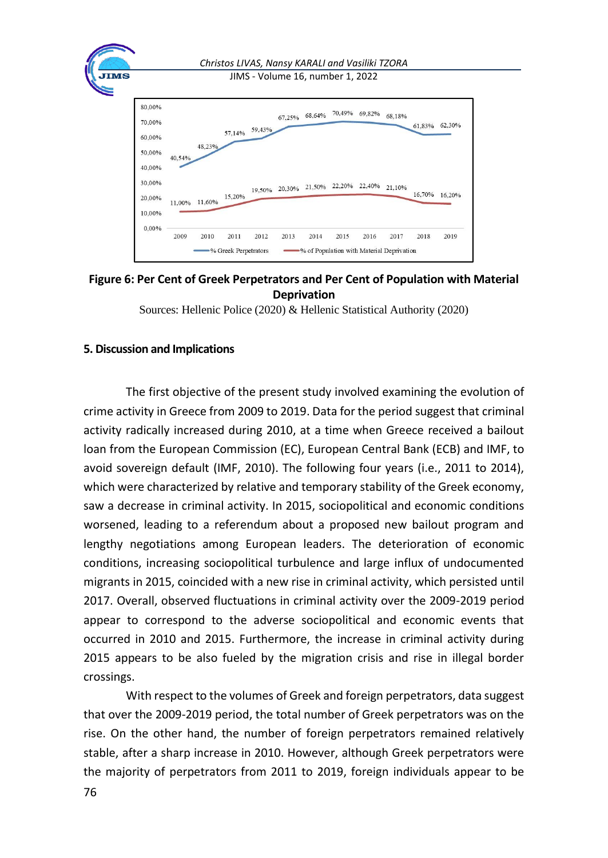

## **Figure 6: Per Cent of Greek Perpetrators and Per Cent of Population with Material Deprivation**

Sources: Hellenic Police (2020) & Hellenic Statistical Authority (2020)

#### **5. Discussion and Implications**

The first objective of the present study involved examining the evolution of crime activity in Greece from 2009 to 2019. Data for the period suggest that criminal activity radically increased during 2010, at a time when Greece received a bailout loan from the European Commission (EC), European Central Bank (ECB) and IMF, to avoid sovereign default (IMF, 2010). The following four years (i.e., 2011 to 2014), which were characterized by relative and temporary stability of the Greek economy, saw a decrease in criminal activity. In 2015, sociopolitical and economic conditions worsened, leading to a referendum about a proposed new bailout program and lengthy negotiations among European leaders. The deterioration of economic conditions, increasing sociopolitical turbulence and large influx of undocumented migrants in 2015, coincided with a new rise in criminal activity, which persisted until 2017. Overall, observed fluctuations in criminal activity over the 2009-2019 period appear to correspond to the adverse sociopolitical and economic events that occurred in 2010 and 2015. Furthermore, the increase in criminal activity during 2015 appears to be also fueled by the migration crisis and rise in illegal border crossings.

With respect to the volumes of Greek and foreign perpetrators, data suggest that over the 2009-2019 period, the total number of Greek perpetrators was on the rise. On the other hand, the number of foreign perpetrators remained relatively stable, after a sharp increase in 2010. However, although Greek perpetrators were the majority of perpetrators from 2011 to 2019, foreign individuals appear to be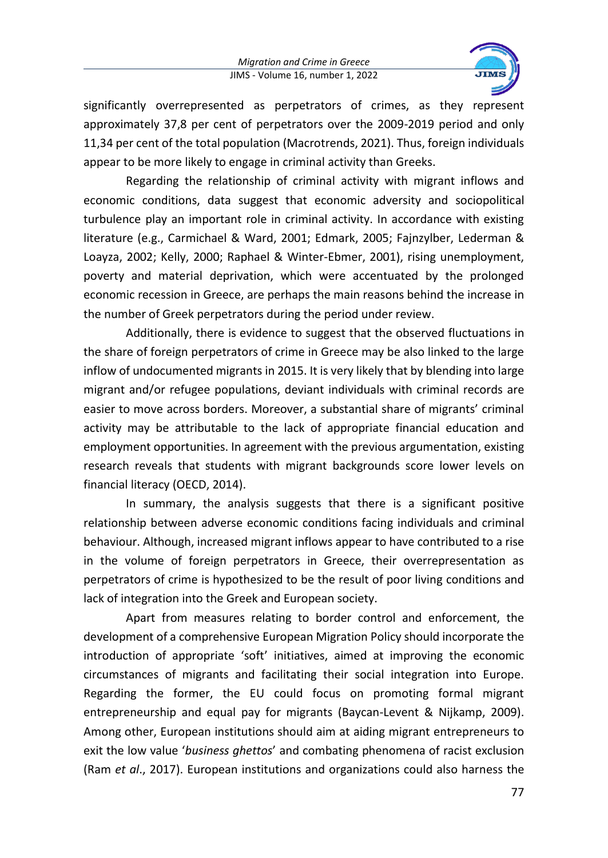

significantly overrepresented as perpetrators of crimes, as they represent approximately 37,8 per cent of perpetrators over the 2009-2019 period and only 11,34 per cent of the total population (Macrotrends, 2021). Thus, foreign individuals appear to be more likely to engage in criminal activity than Greeks.

Regarding the relationship of criminal activity with migrant inflows and economic conditions, data suggest that economic adversity and sociopolitical turbulence play an important role in criminal activity. In accordance with existing literature (e.g., Carmichael & Ward, 2001; Edmark, 2005; Fajnzylber, Lederman & Loayza, 2002; Kelly, 2000; Raphael & Winter-Ebmer, 2001), rising unemployment, poverty and material deprivation, which were accentuated by the prolonged economic recession in Greece, are perhaps the main reasons behind the increase in the number of Greek perpetrators during the period under review.

Additionally, there is evidence to suggest that the observed fluctuations in the share of foreign perpetrators of crime in Greece may be also linked to the large inflow of undocumented migrants in 2015. It is very likely that by blending into large migrant and/or refugee populations, deviant individuals with criminal records are easier to move across borders. Moreover, a substantial share of migrants' criminal activity may be attributable to the lack of appropriate financial education and employment opportunities. In agreement with the previous argumentation, existing research reveals that students with migrant backgrounds score lower levels on financial literacy (OECD, 2014).

In summary, the analysis suggests that there is a significant positive relationship between adverse economic conditions facing individuals and criminal behaviour. Although, increased migrant inflows appear to have contributed to a rise in the volume of foreign perpetrators in Greece, their overrepresentation as perpetrators of crime is hypothesized to be the result of poor living conditions and lack of integration into the Greek and European society.

Apart from measures relating to border control and enforcement, the development of a comprehensive European Migration Policy should incorporate the introduction of appropriate 'soft' initiatives, aimed at improving the economic circumstances of migrants and facilitating their social integration into Europe. Regarding the former, the EU could focus on promoting formal migrant entrepreneurship and equal pay for migrants (Baycan-Levent & Nijkamp, 2009). Among other, European institutions should aim at aiding migrant entrepreneurs to exit the low value '*business ghettos*' and combating phenomena of racist exclusion (Ram *et al*., 2017). European institutions and organizations could also harness the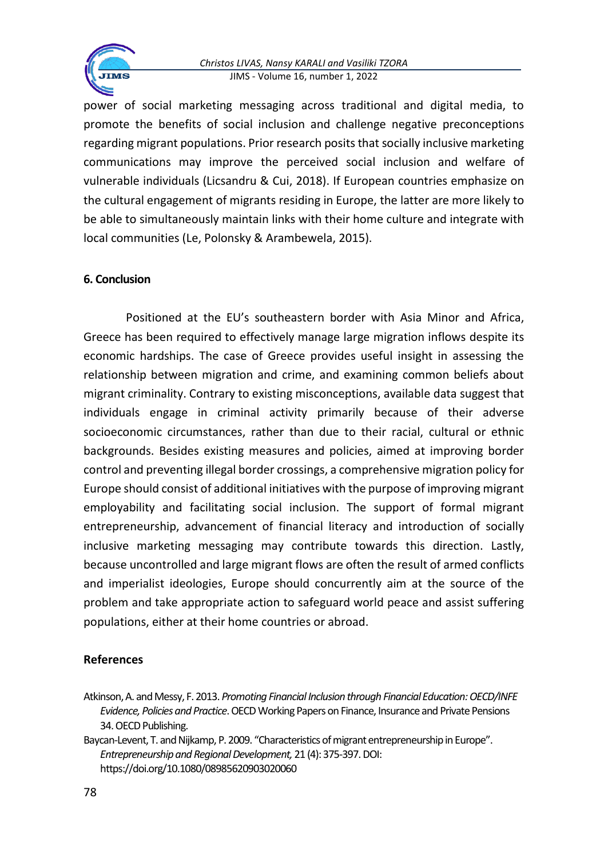

power of social marketing messaging across traditional and digital media, to promote the benefits of social inclusion and challenge negative preconceptions regarding migrant populations. Prior research posits that socially inclusive marketing communications may improve the perceived social inclusion and welfare of vulnerable individuals (Licsandru & Cui, 2018). If European countries emphasize on the cultural engagement of migrants residing in Europe, the latter are more likely to be able to simultaneously maintain links with their home culture and integrate with local communities (Le, Polonsky & Arambewela, 2015).

## **6. Conclusion**

**TMS** 

Positioned at the EU's southeastern border with Asia Minor and Africa, Greece has been required to effectively manage large migration inflows despite its economic hardships. The case of Greece provides useful insight in assessing the relationship between migration and crime, and examining common beliefs about migrant criminality. Contrary to existing misconceptions, available data suggest that individuals engage in criminal activity primarily because of their adverse socioeconomic circumstances, rather than due to their racial, cultural or ethnic backgrounds. Besides existing measures and policies, aimed at improving border control and preventing illegal border crossings, a comprehensive migration policy for Europe should consist of additional initiatives with the purpose of improving migrant employability and facilitating social inclusion. The support of formal migrant entrepreneurship, advancement of financial literacy and introduction of socially inclusive marketing messaging may contribute towards this direction. Lastly, because uncontrolled and large migrant flows are often the result of armed conflicts and imperialist ideologies, Europe should concurrently aim at the source of the problem and take appropriate action to safeguard world peace and assist suffering populations, either at their home countries or abroad.

#### **References**

Atkinson, A. and Messy, F. 2013. *Promoting Financial Inclusion through Financial Education: OECD/INFE Evidence, Policies and Practice*. OECD Working Papers on Finance, Insurance and Private Pensions 34. OECD Publishing.

Baycan-Levent, T. and Nijkamp, P. 2009. "Characteristics of migrant entrepreneurship in Europe". *Entrepreneurship and Regional Development,* 21 (4): 375-397. DOI: https://doi.org/10.1080/08985620903020060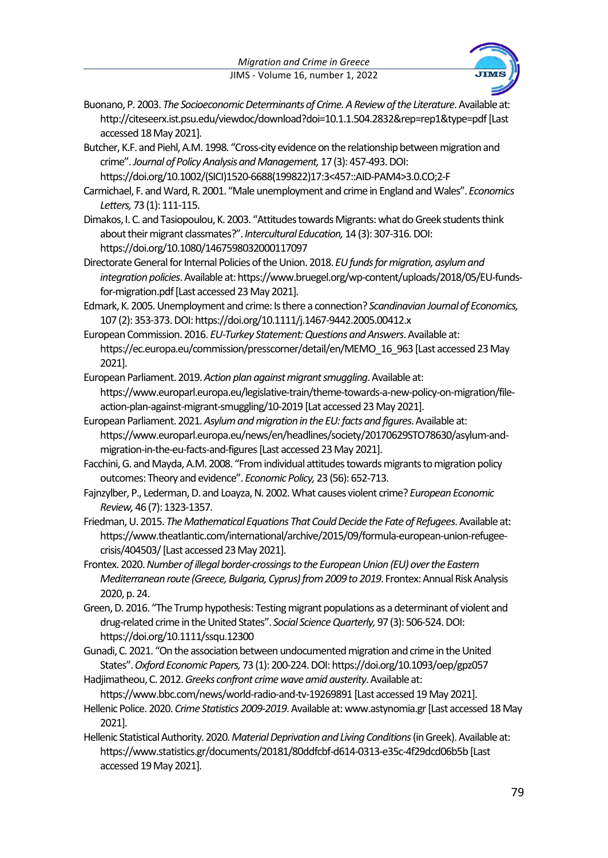

- Buonano, P. 2003. *The Socioeconomic Determinants of Crime. A Review of the Literature*. Available at: http://citeseerx.ist.psu.edu/viewdoc/download?doi=10.1.1.504.2832&rep=rep1&type=pdf [Last accessed 18 May 2021].
- Butcher, K.F. and Piehl, A.M. 1998. "Cross‐city evidence on the relationship between migration and crime". *Journal of Policy Analysis and Management,* 17 (3): 457-493. DOI:

https://doi.org/10.1002/(SICI)1520-6688(199822)17:3<457::AID-PAM4>3.0.CO;2-F

- Carmichael, F. and Ward, R. 2001. "Male unemployment and crime in England and Wales". *Economics Letters,* 73 (1): 111-115.
- Dimakos, I. C. and Tasiopoulou, K. 2003. "Attitudes towards Migrants: what do Greek students think about their migrant classmates?".*Intercultural Education,* 14 (3): 307-316. DOI: https://doi.org/10.1080/1467598032000117097
- Directorate General for Internal Policies of the Union. 2018. *EU funds for migration, asylum and integration policies*. Available at: https://www.bruegel.org/wp-content/uploads/2018/05/EU-fundsfor-migration.pdf [Last accessed 23 May 2021].
- Edmark, K. 2005.Unemployment and crime: Is there a connection? *Scandinavian Journal of Economics,* 107 (2): 353-373. DOI: https://doi.org/10.1111/j.1467-9442.2005.00412.x
- European Commission. 2016. *EU-Turkey Statement: Questions and Answers*. Available at: https://ec.europa.eu/commission/presscorner/detail/en/MEMO\_16\_963 [Last accessed 23 May 2021].
- European Parliament. 2019. *Action plan against migrant smuggling*. Available at: https://www.europarl.europa.eu/legislative-train/theme-towards-a-new-policy-on-migration/fileaction-plan-against-migrant-smuggling/10-2019 [Lat accessed 23 May 2021].
- European Parliament. 2021. *Asylum and migration in the EU: facts and figures*. Available at: https://www.europarl.europa.eu/news/en/headlines/society/20170629STO78630/asylum-andmigration-in-the-eu-facts-and-figures [Last accessed 23 May 2021].
- Facchini, G. and Mayda, A.M. 2008. "From individual attitudes towards migrants to migration policy outcomes: Theory and evidence". *Economic Policy,* 23 (56): 652-713.
- Fajnzylber, P., Lederman, D. and Loayza, N. 2002. What causes violent crime? *European Economic Review,* 46 (7): 1323-1357.
- Friedman, U. 2015. *The Mathematical Equations That Could Decide the Fate of Refugees*. Available at: https://www.theatlantic.com/international/archive/2015/09/formula-european-union-refugeecrisis/404503/ [Last accessed 23 May 2021].
- Frontex. 2020. *Number of illegal border-crossings to the European Union (EU) over the Eastern Mediterranean route (Greece, Bulgaria, Cyprus) from 2009 to 2019*. Frontex: Annual Risk Analysis 2020, p. 24.
- Green, D. 2016. "The Trump hypothesis: Testing migrant populations as a determinant of violent and drug‐related crime in the United States". *Social Science Quarterly,*97 (3): 506-524. DOI: https://doi.org/10.1111/ssqu.12300
- Gunadi, C. 2021. "On the association between undocumented migration and crime in the United States". *Oxford Economic Papers,*73 (1): 200-224. DOI: https://doi.org/10.1093/oep/gpz057
- Hadjimatheou, C. 2012. *Greeks confront crime wave amid austerity*. Available at: https://www.bbc.com/news/world-radio-and-tv-19269891 [Last accessed 19 May 2021].
- Hellenic Police. 2020. *Crime Statistics 2009-2019*. Available at: www.astynomia.gr [Last accessed 18 May 2021].
- Hellenic Statistical Authority. 2020. *Material Deprivation and Living Conditions* (in Greek). Available at: https://www.statistics.gr/documents/20181/80ddfcbf-d614-0313-e35c-4f29dcd06b5b [Last accessed 19 May 2021].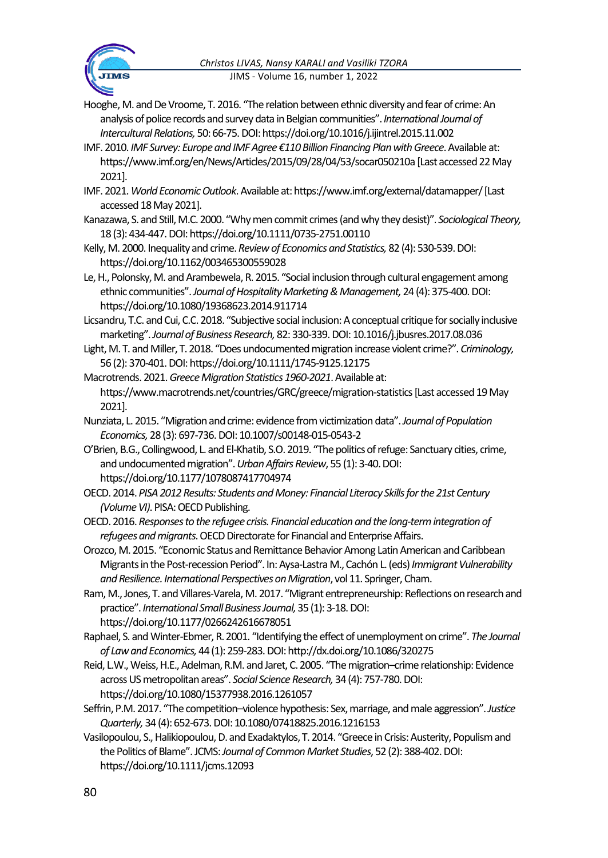

- Hooghe, M. and De Vroome, T. 2016. "The relation between ethnic diversity and fear of crime: An analysis of police records and survey data in Belgian communities". *International Journal of Intercultural Relations,* 50: 66-75. DOI: https://doi.org/10.1016/j.ijintrel.2015.11.002
- IMF. 2010. *IMF Survey: Europe and IMF Agree €110 Billion Financing Plan with Greece*. Available at: https://www.imf.org/en/News/Articles/2015/09/28/04/53/socar050210a [Last accessed 22 May 2021].
- IMF. 2021. *World Economic Outlook*. Available at: https://www.imf.org/external/datamapper/ [Last accessed 18 May 2021].
- Kanazawa, S. and Still, M.C. 2000. "Why men commit crimes (and why they desist)". *Sociological Theory,* 18 (3): 434-447. DOI: https://doi.org/10.1111/0735-2751.00110
- Kelly, M. 2000. Inequality and crime. *Review of Economics and Statistics,* 82 (4): 530-539. DOI: https://doi.org/10.1162/003465300559028
- Le, H., Polonsky, M. and Arambewela, R. 2015. "Social inclusion through cultural engagement among ethnic communities". *Journal of Hospitality Marketing & Management,*24 (4): 375-400. DOI: https://doi.org/10.1080/19368623.2014.911714
- Licsandru, T.C. and Cui, C.C. 2018. "Subjective social inclusion: A conceptual critique for socially inclusive marketing". *Journal of Business Research,*82: 330-339. DOI: 10.1016/j.jbusres.2017.08.036
- Light, M. T. and Miller, T. 2018. "Does undocumented migration increase violent crime?". *Criminology,* 56 (2): 370-401. DOI: https://doi.org/10.1111/1745-9125.12175
- Macrotrends. 2021. *Greece Migration Statistics 1960-2021*. Available at: https://www.macrotrends.net/countries/GRC/greece/migration-statistics [Last accessed 19 May 2021].
- Nunziata, L. 2015. "Migration and crime: evidence from victimization data". *Journal of Population Economics,* 28 (3): 697-736. DOI: 10.1007/s00148-015-0543-2
- O'Brien, B.G., Collingwood, L. and El-Khatib, S.O. 2019. "The politics of refuge: Sanctuary cities, crime, and undocumented migration". *Urban Affairs Review*, 55 (1): 3-40. DOI: https://doi.org/10.1177/1078087417704974
- OECD. 2014. *PISA 2012 Results: Students and Money: Financial Literacy Skills for the 21st Century (Volume VI)*. PISA: OECD Publishing.
- OECD. 2016. *Responses to the refugee crisis. Financial education and the long-term integration of refugees and migrants*. OECD Directorate for Financial and Enterprise Affairs.
- Orozco,M. 2015. "Economic Status and Remittance Behavior Among Latin American and Caribbean Migrants in the Post-recession Period". In: Aysa-Lastra M., Cachón L. (eds) *Immigrant Vulnerability and Resilience. International Perspectives on Migration*, vol 11. Springer, Cham.
- Ram, M., Jones, T. and Villares-Varela, M. 2017. "Migrant entrepreneurship: Reflections on research and practice". *International Small Business Journal,*35 (1): 3-18. DOI: https://doi.org/10.1177/0266242616678051
- Raphael, S. and Winter-Ebmer, R. 2001. "Identifying the effect of unemployment on crime". *The Journal of Law and Economics,* 44 (1): 259-283. DOI: http://dx.doi.org/10.1086/320275
- Reid, L.W., Weiss, H.E., Adelman, R.M. and Jaret, C. 2005. "The migration–crime relationship: Evidence across US metropolitan areas". *Social Science Research,* 34 (4): 757-780. DOI: https://doi.org/10.1080/15377938.2016.1261057
- Seffrin, P.M. 2017. "The competition–violence hypothesis: Sex, marriage, and male aggression". *Justice Quarterly,* 34 (4): 652-673. DOI: 10.1080/07418825.2016.1216153
- Vasilopoulou, S., Halikiopoulou, D. and Exadaktylos, T. 2014. "Greece in Crisis: Austerity, Populism and the Politics of Blame". JCMS: *Journal of Common Market Studies*, 52 (2): 388-402. DOI: https://doi.org/10.1111/jcms.12093